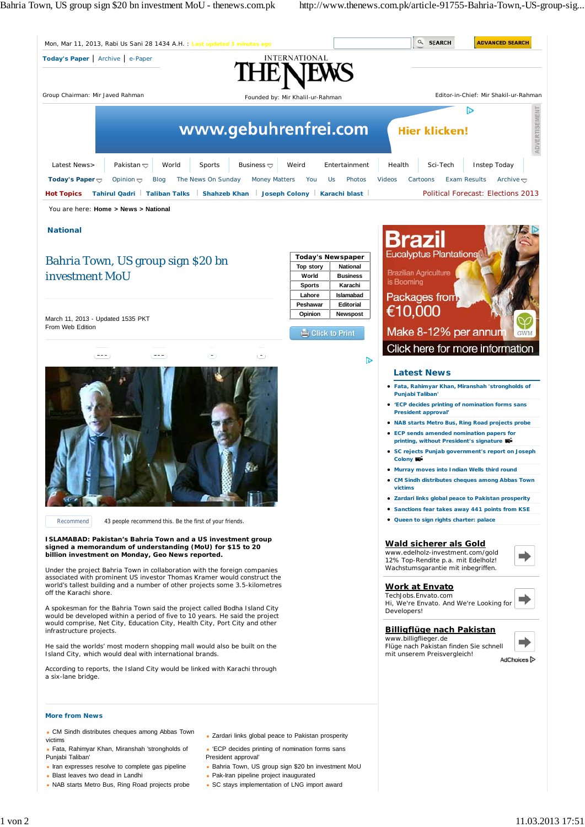Bahria Town, US group sign \$20 bn investment MoU - thenews.com.pk http://www.thenews.com.pk/article-91755-Bahria-Town,-US-group-sig...